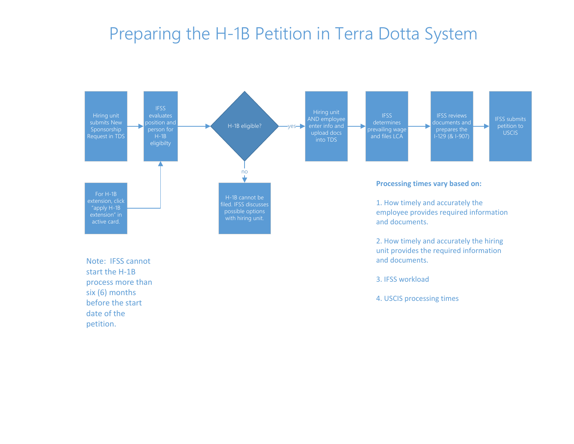## Preparing the H-1B Petition in Terra Dotta System



Note: IFSS cannot start the H-1B process more than six (6) months before the start date of the petition.

3. IFSS workload

and documents.

4. USCIS processing times